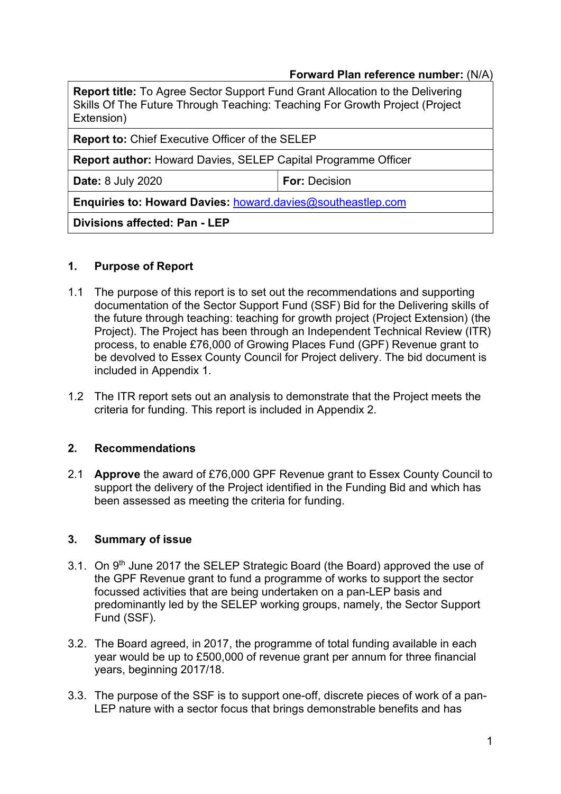### Forward Plan reference number: (N/A)

| <b>Report title:</b> To Agree Sector Support Fund Grant Allocation to the Delivering<br>Skills Of The Future Through Teaching: Teaching For Growth Project (Project<br>Extension) |                      |  |  |  |
|-----------------------------------------------------------------------------------------------------------------------------------------------------------------------------------|----------------------|--|--|--|
| <b>Report to: Chief Executive Officer of the SELEP</b>                                                                                                                            |                      |  |  |  |
| <b>Report author:</b> Howard Davies, SELEP Capital Programme Officer                                                                                                              |                      |  |  |  |
| <b>Date: 8 July 2020</b>                                                                                                                                                          | <b>For: Decision</b> |  |  |  |
| <b>Enquiries to: Howard Davies: howard davies@southeastlep.com</b>                                                                                                                |                      |  |  |  |
| Divisions affected: Pan - LEP                                                                                                                                                     |                      |  |  |  |

### 1. Purpose of Report

- 1.1 The purpose of this report is to set out the recommendations and supporting documentation of the Sector Support Fund (SSF) Bid for the Delivering skills of the future through teaching: teaching for growth project (Project Extension) (the Project). The Project has been through an Independent Technical Review (ITR) process, to enable £76,000 of Growing Places Fund (GPF) Revenue grant to be devolved to Essex County Council for Project delivery. The bid document is included in Appendix 1.
- 1.2 The ITR report sets out an analysis to demonstrate that the Project meets the criteria for funding. This report is included in Appendix 2.

## 2. Recommendations

2.1 **Approve** the award of £76,000 GPF Revenue grant to Essex County Council to support the delivery of the Project identified in the Funding Bid and which has been assessed as meeting the criteria for funding.

#### 3. Summary of issue

- 3.1. On 9<sup>th</sup> June 2017 the SELEP Strategic Board (the Board) approved the use of the GPF Revenue grant to fund a programme of works to support the sector focussed activities that are being undertaken on a pan-LEP basis and predominantly led by the SELEP working groups, namely, the Sector Support Fund (SSF).
- 3.2. The Board agreed, in 2017, the programme of total funding available in each year would be up to £500,000 of revenue grant per annum for three financial years, beginning 2017/18.
- 3.3. The purpose of the SSF is to support one-off, discrete pieces of work of a pan-LEP nature with a sector focus that brings demonstrable benefits and has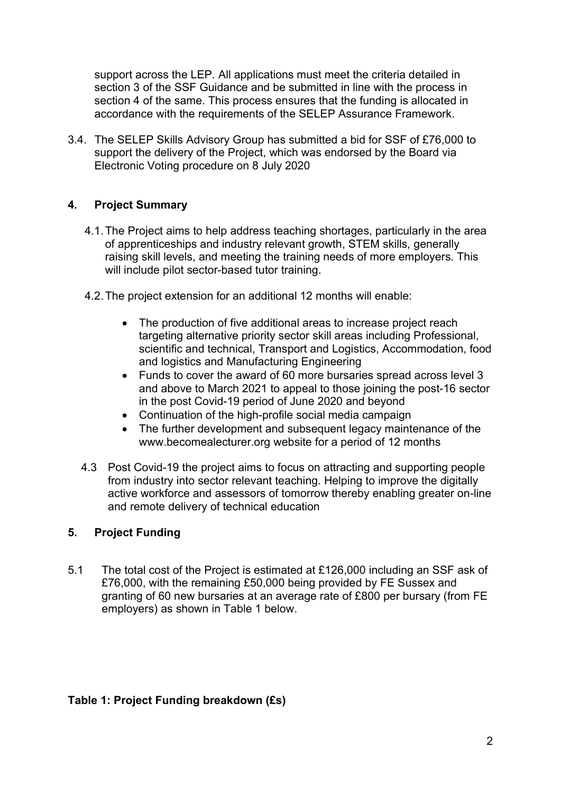support across the LEP. All applications must meet the criteria detailed in section 3 of the SSF Guidance and be submitted in line with the process in section 4 of the same. This process ensures that the funding is allocated in accordance with the requirements of the SELEP Assurance Framework.

3.4. The SELEP Skills Advisory Group has submitted a bid for SSF of £76,000 to support the delivery of the Project, which was endorsed by the Board via Electronic Voting procedure on 8 July 2020

# 4. Project Summary

- 4.1. The Project aims to help address teaching shortages, particularly in the area of apprenticeships and industry relevant growth, STEM skills, generally raising skill levels, and meeting the training needs of more employers. This will include pilot sector-based tutor training.
- 4.2. The project extension for an additional 12 months will enable:
	- The production of five additional areas to increase project reach targeting alternative priority sector skill areas including Professional, scientific and technical, Transport and Logistics, Accommodation, food and logistics and Manufacturing Engineering
	- Funds to cover the award of 60 more bursaries spread across level 3 and above to March 2021 to appeal to those joining the post-16 sector in the post Covid-19 period of June 2020 and beyond
	- Continuation of the high-profile social media campaign
	- The further development and subsequent legacy maintenance of the www.becomealecturer.org website for a period of 12 months
- 4.3 Post Covid-19 the project aims to focus on attracting and supporting people from industry into sector relevant teaching. Helping to improve the digitally active workforce and assessors of tomorrow thereby enabling greater on-line and remote delivery of technical education

## 5. Project Funding

5.1 The total cost of the Project is estimated at £126,000 including an SSF ask of £76,000, with the remaining £50,000 being provided by FE Sussex and granting of 60 new bursaries at an average rate of £800 per bursary (from FE employers) as shown in Table 1 below.

#### Table 1: Project Funding breakdown (£s)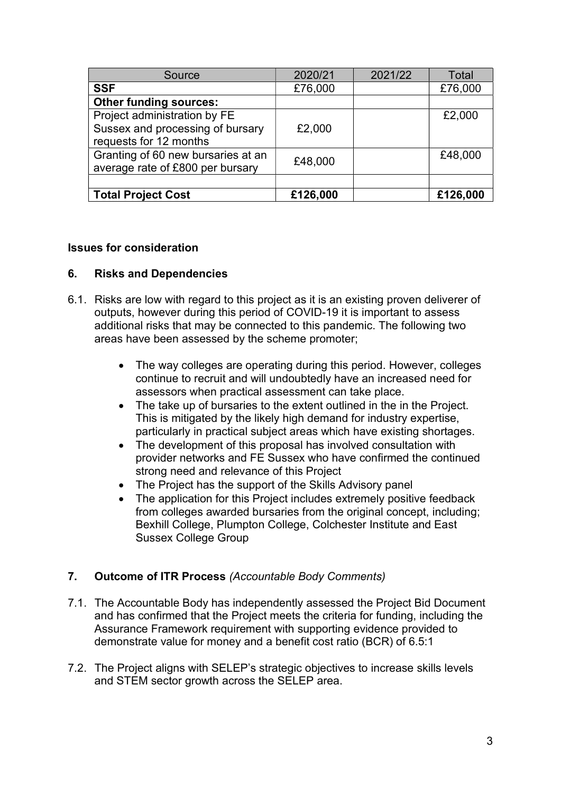| Source                             | 2020/21  | 2021/22 | <b>Total</b> |
|------------------------------------|----------|---------|--------------|
| <b>SSF</b>                         | £76,000  |         | £76,000      |
| <b>Other funding sources:</b>      |          |         |              |
| Project administration by FE       |          |         | £2,000       |
| Sussex and processing of bursary   | £2,000   |         |              |
| requests for 12 months             |          |         |              |
| Granting of 60 new bursaries at an | £48,000  |         | £48,000      |
| average rate of £800 per bursary   |          |         |              |
|                                    |          |         |              |
| <b>Total Project Cost</b>          | £126,000 |         | £126,000     |

### Issues for consideration

### 6. Risks and Dependencies

- 6.1. Risks are low with regard to this project as it is an existing proven deliverer of outputs, however during this period of COVID-19 it is important to assess additional risks that may be connected to this pandemic. The following two areas have been assessed by the scheme promoter;
	- The way colleges are operating during this period. However, colleges continue to recruit and will undoubtedly have an increased need for assessors when practical assessment can take place.
	- The take up of bursaries to the extent outlined in the in the Project. This is mitigated by the likely high demand for industry expertise, particularly in practical subject areas which have existing shortages.
	- The development of this proposal has involved consultation with provider networks and FE Sussex who have confirmed the continued strong need and relevance of this Project
	- The Project has the support of the Skills Advisory panel
	- The application for this Project includes extremely positive feedback from colleges awarded bursaries from the original concept, including; Bexhill College, Plumpton College, Colchester Institute and East Sussex College Group

## 7. Outcome of ITR Process (Accountable Body Comments)

- 7.1. The Accountable Body has independently assessed the Project Bid Document and has confirmed that the Project meets the criteria for funding, including the Assurance Framework requirement with supporting evidence provided to demonstrate value for money and a benefit cost ratio (BCR) of 6.5:1
- 7.2. The Project aligns with SELEP's strategic objectives to increase skills levels and STEM sector growth across the SELEP area.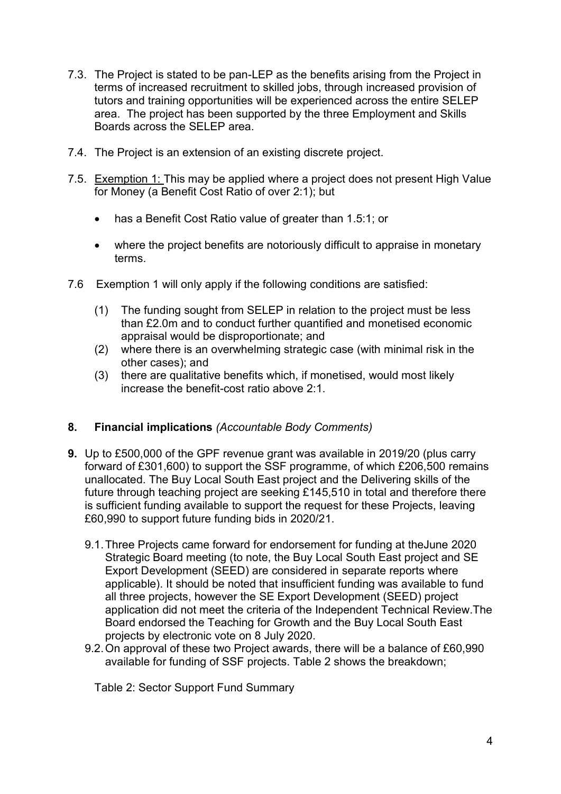- 7.3. The Project is stated to be pan-LEP as the benefits arising from the Project in terms of increased recruitment to skilled jobs, through increased provision of tutors and training opportunities will be experienced across the entire SELEP area. The project has been supported by the three Employment and Skills Boards across the SELEP area.
- 7.4. The Project is an extension of an existing discrete project.
- 7.5. Exemption 1: This may be applied where a project does not present High Value for Money (a Benefit Cost Ratio of over 2:1); but
	- has a Benefit Cost Ratio value of greater than 1.5:1; or
	- where the project benefits are notoriously difficult to appraise in monetary terms.
- 7.6 Exemption 1 will only apply if the following conditions are satisfied:
	- (1) The funding sought from SELEP in relation to the project must be less than £2.0m and to conduct further quantified and monetised economic appraisal would be disproportionate; and
	- (2) where there is an overwhelming strategic case (with minimal risk in the other cases); and
	- (3) there are qualitative benefits which, if monetised, would most likely increase the benefit-cost ratio above 2:1.

## 8. Financial implications (Accountable Body Comments)

- 9. Up to £500,000 of the GPF revenue grant was available in 2019/20 (plus carry forward of £301,600) to support the SSF programme, of which £206,500 remains unallocated. The Buy Local South East project and the Delivering skills of the future through teaching project are seeking £145,510 in total and therefore there is sufficient funding available to support the request for these Projects, leaving £60,990 to support future funding bids in 2020/21.
	- 9.1. Three Projects came forward for endorsement for funding at theJune 2020 Strategic Board meeting (to note, the Buy Local South East project and SE Export Development (SEED) are considered in separate reports where applicable). It should be noted that insufficient funding was available to fund all three projects, however the SE Export Development (SEED) project application did not meet the criteria of the Independent Technical Review.The Board endorsed the Teaching for Growth and the Buy Local South East projects by electronic vote on 8 July 2020.
	- 9.2. On approval of these two Project awards, there will be a balance of £60,990 available for funding of SSF projects. Table 2 shows the breakdown;

Table 2: Sector Support Fund Summary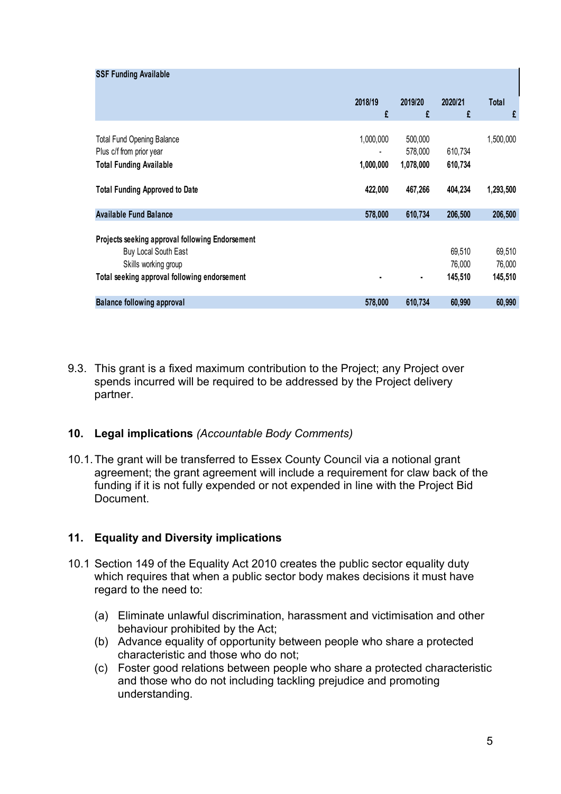| <b>SSF Funding Available</b>                    |                |           |         |           |
|-------------------------------------------------|----------------|-----------|---------|-----------|
|                                                 | 2018/19        | 2019/20   | 2020/21 | Total     |
|                                                 | £              | £         | £       | £         |
| <b>Total Fund Opening Balance</b>               | 1,000,000      | 500,000   |         | 1,500,000 |
| Plus c/f from prior year                        | $\blacksquare$ | 578,000   | 610,734 |           |
| <b>Total Funding Available</b>                  | 1,000,000      | 1,078,000 | 610,734 |           |
| <b>Total Funding Approved to Date</b>           | 422,000        | 467,266   | 404,234 | 1,293,500 |
| <b>Available Fund Balance</b>                   | 578,000        | 610,734   | 206,500 | 206,500   |
| Projects seeking approval following Endorsement |                |           |         |           |
| Buy Local South East                            |                |           | 69,510  | 69,510    |
|                                                 |                |           | 76,000  | 76,000    |
| Skills working group                            |                |           | 145,510 | 145,510   |
| Total seeking approval following endorsement    |                |           | 60,990  | 60,990    |
| <b>Balance following approval</b>               | 578,000        | 610,734   |         |           |
|                                                 |                |           |         |           |
|                                                 |                |           |         |           |

9.3. This grant is a fixed maximum contribution to the Project; any Project over spends incurred will be required to be addressed by the Project delivery partner.

## 10. Legal implications (Accountable Body Comments)

10.1. The grant will be transferred to Essex County Council via a notional grant agreement; the grant agreement will include a requirement for claw back of the funding if it is not fully expended or not expended in line with the Project Bid **Document** 

# 11. Equality and Diversity implications

- 10.1 Section 149 of the Equality Act 2010 creates the public sector equality duty which requires that when a public sector body makes decisions it must have regard to the need to:
	- (a) Eliminate unlawful discrimination, harassment and victimisation and other behaviour prohibited by the Act;
	- (b) Advance equality of opportunity between people who share a protected characteristic and those who do not;
	- (c) Foster good relations between people who share a protected characteristic and those who do not including tackling prejudice and promoting understanding.